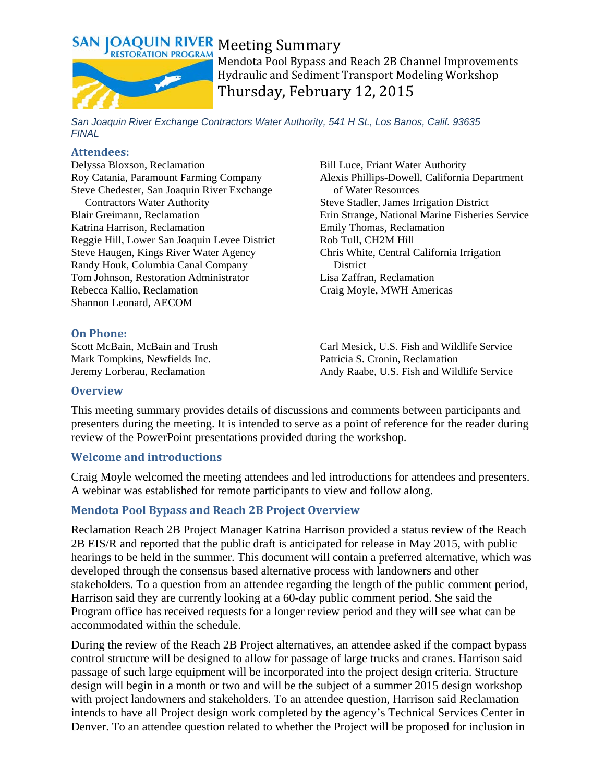

Mendota Pool Bypass and Reach 2B Channel Improvements Hydraulic and Sediment Transport Modeling Workshop Thursday, February 12, 2015

*San Joaquin River Exchange Contractors Water Authority, 541 H St., Los Banos, Calif. 93635 FINAL*

#### **Attendees:**

Delyssa Bloxson, Reclamation Roy Catania, Paramount Farming Company Steve Chedester, San Joaquin River Exchange Contractors Water Authority Blair Greimann, Reclamation Katrina Harrison, Reclamation Reggie Hill, Lower San Joaquin Levee District Steve Haugen, Kings River Water Agency Randy Houk, Columbia Canal Company Tom Johnson, Restoration Administrator Rebecca Kallio, Reclamation Shannon Leonard, AECOM

## **On Phone:**

Scott McBain, McBain and Trush Mark Tompkins, Newfields Inc. Jeremy Lorberau, Reclamation

Bill Luce, Friant Water Authority Alexis Phillips-Dowell, California Department of Water Resources Steve Stadler, James Irrigation District Erin Strange, National Marine Fisheries Service Emily Thomas, Reclamation Rob Tull, CH2M Hill Chris White, Central California Irrigation District Lisa Zaffran, Reclamation Craig Moyle, MWH Americas

Carl Mesick, U.S. Fish and Wildlife Service Patricia S. Cronin, Reclamation Andy Raabe, U.S. Fish and Wildlife Service

#### **Overview**

This meeting summary provides details of discussions and comments between participants and presenters during the meeting. It is intended to serve as a point of reference for the reader during review of the PowerPoint presentations provided during the workshop.

## **Welcome and introductions**

Craig Moyle welcomed the meeting attendees and led introductions for attendees and presenters. A webinar was established for remote participants to view and follow along.

# **Mendota Pool Bypass and Reach 2B Project Overview**

Reclamation Reach 2B Project Manager Katrina Harrison provided a status review of the Reach 2B EIS/R and reported that the public draft is anticipated for release in May 2015, with public hearings to be held in the summer. This document will contain a preferred alternative, which was developed through the consensus based alternative process with landowners and other stakeholders. To a question from an attendee regarding the length of the public comment period, Harrison said they are currently looking at a 60-day public comment period. She said the Program office has received requests for a longer review period and they will see what can be accommodated within the schedule.

During the review of the Reach 2B Project alternatives, an attendee asked if the compact bypass control structure will be designed to allow for passage of large trucks and cranes. Harrison said passage of such large equipment will be incorporated into the project design criteria. Structure design will begin in a month or two and will be the subject of a summer 2015 design workshop with project landowners and stakeholders. To an attendee question, Harrison said Reclamation intends to have all Project design work completed by the agency's Technical Services Center in Denver. To an attendee question related to whether the Project will be proposed for inclusion in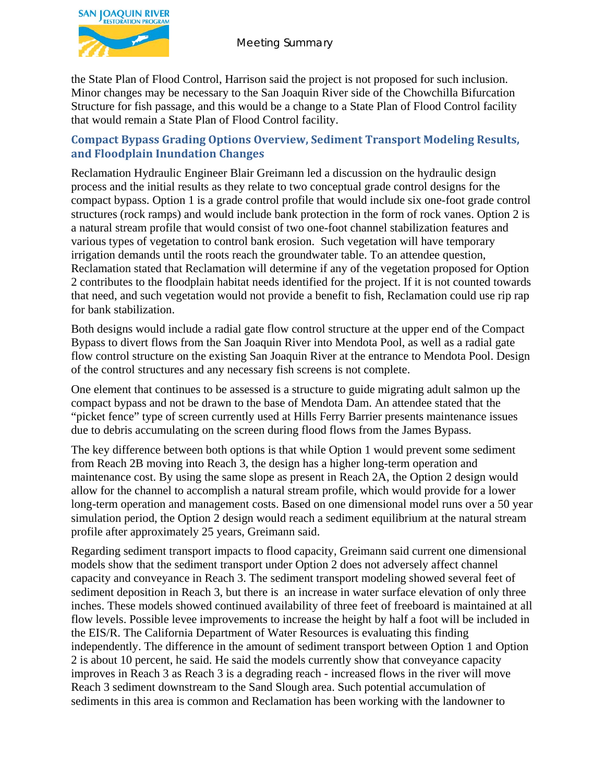

Meeting Summary

the State Plan of Flood Control, Harrison said the project is not proposed for such inclusion. Minor changes may be necessary to the San Joaquin River side of the Chowchilla Bifurcation Structure for fish passage, and this would be a change to a State Plan of Flood Control facility that would remain a State Plan of Flood Control facility.

# **Compact Bypass Grading Options Overview, Sediment Transport Modeling Results, and Floodplain Inundation Changes**

Reclamation Hydraulic Engineer Blair Greimann led a discussion on the hydraulic design process and the initial results as they relate to two conceptual grade control designs for the compact bypass. Option 1 is a grade control profile that would include six one-foot grade control structures (rock ramps) and would include bank protection in the form of rock vanes. Option 2 is a natural stream profile that would consist of two one-foot channel stabilization features and various types of vegetation to control bank erosion. Such vegetation will have temporary irrigation demands until the roots reach the groundwater table. To an attendee question, Reclamation stated that Reclamation will determine if any of the vegetation proposed for Option 2 contributes to the floodplain habitat needs identified for the project. If it is not counted towards that need, and such vegetation would not provide a benefit to fish, Reclamation could use rip rap for bank stabilization.

Both designs would include a radial gate flow control structure at the upper end of the Compact Bypass to divert flows from the San Joaquin River into Mendota Pool, as well as a radial gate flow control structure on the existing San Joaquin River at the entrance to Mendota Pool. Design of the control structures and any necessary fish screens is not complete.

One element that continues to be assessed is a structure to guide migrating adult salmon up the compact bypass and not be drawn to the base of Mendota Dam. An attendee stated that the "picket fence" type of screen currently used at Hills Ferry Barrier presents maintenance issues due to debris accumulating on the screen during flood flows from the James Bypass.

The key difference between both options is that while Option 1 would prevent some sediment from Reach 2B moving into Reach 3, the design has a higher long-term operation and maintenance cost. By using the same slope as present in Reach 2A, the Option 2 design would allow for the channel to accomplish a natural stream profile, which would provide for a lower long-term operation and management costs. Based on one dimensional model runs over a 50 year simulation period, the Option 2 design would reach a sediment equilibrium at the natural stream profile after approximately 25 years, Greimann said.

Regarding sediment transport impacts to flood capacity, Greimann said current one dimensional models show that the sediment transport under Option 2 does not adversely affect channel capacity and conveyance in Reach 3. The sediment transport modeling showed several feet of sediment deposition in Reach 3, but there is an increase in water surface elevation of only three inches. These models showed continued availability of three feet of freeboard is maintained at all flow levels. Possible levee improvements to increase the height by half a foot will be included in the EIS/R. The California Department of Water Resources is evaluating this finding independently. The difference in the amount of sediment transport between Option 1 and Option 2 is about 10 percent, he said. He said the models currently show that conveyance capacity improves in Reach 3 as Reach 3 is a degrading reach - increased flows in the river will move Reach 3 sediment downstream to the Sand Slough area. Such potential accumulation of sediments in this area is common and Reclamation has been working with the landowner to